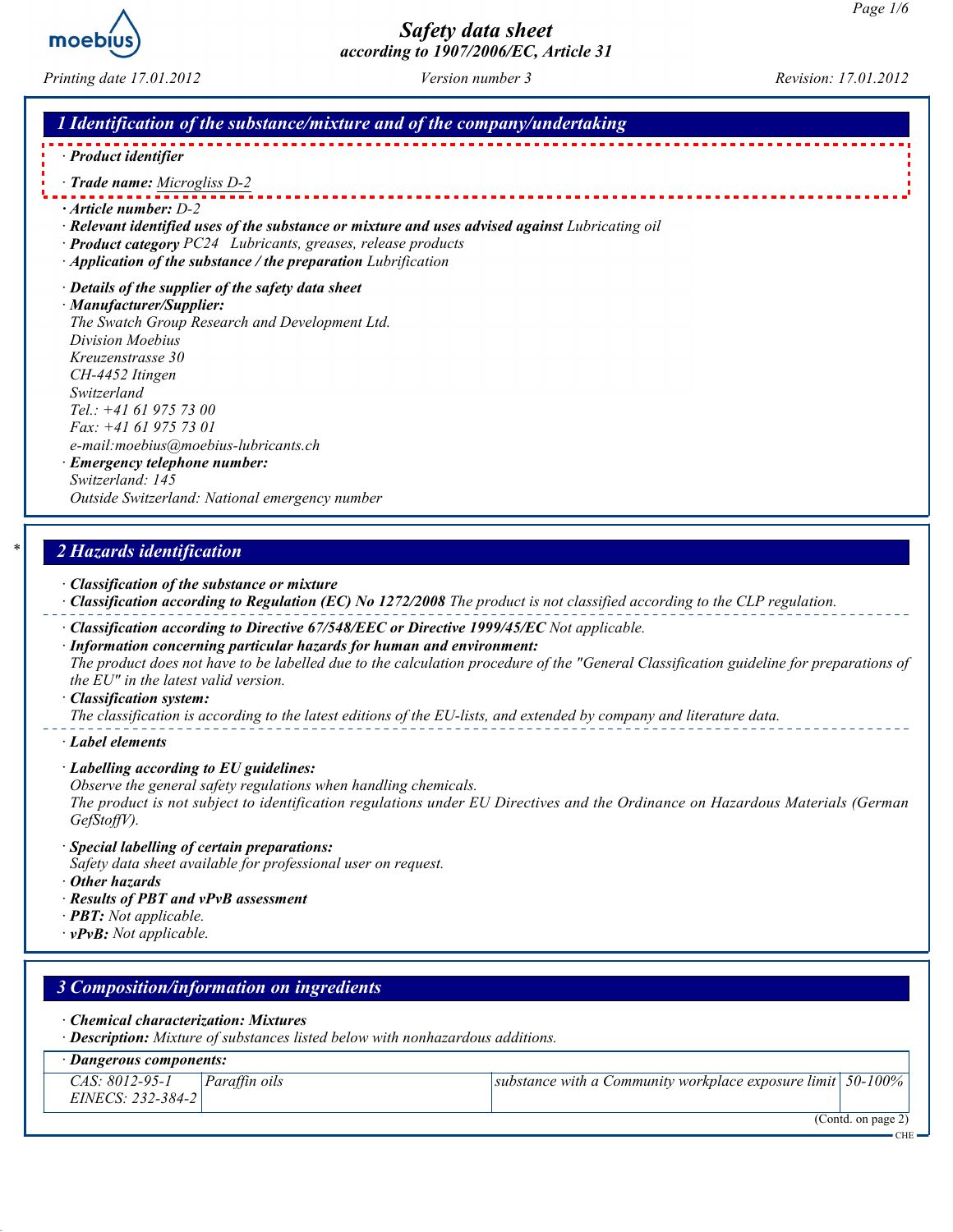

Printing date 17.01.2012 Version number 3 Revision: 17.01.2012

#### 1 Identification of the substance/mixture and of the company/undertaking

- · [Product identifier](http://www.m-p.co.uk/muk/parts/chap10/moebius-oil-20ml-1079000315.htm)
- · Trade name: Microgliss D-2
- · Article number: D-2
- · Relevant identified uses of the substance or mixture and uses advised against Lubricating oil
- · Product category PC24 Lubricants, greases, release products
- · Application of the substance / the preparation Lubrification
- · Details of the supplier of the safety data sheet

· Manufacturer/Supplier: The Swatch Group Research and Development Ltd. Division Moebius Kreuzenstrasse 30 CH-4452 Itingen Switzerland Tel.: +41 61 975 73 00 Fax: +41 61 975 73 01 e-mail:moebius@moebius-lubricants.ch · Emergency telephone number: Switzerland: 145

Outside Switzerland: National emergency number

## 2 Hazards identification

- · Classification of the substance or mixture
- $\cdot$  Classification according to Regulation (EC) No 1272/2008 The product is not classified according to the CLP regulation.
- · Classification according to Directive 67/548/EEC or Directive 1999/45/EC Not applicable.
- · Information concerning particular hazards for human and environment: The product does not have to be labelled due to the calculation procedure of the "General Classification guideline for preparations of the EU" in the latest valid version.
- · Classification system:

The classification is according to the latest editions of the EU-lists, and extended by company and literature data.

- · Label elements
- · Labelling according to EU guidelines:
- Observe the general safety regulations when handling chemicals.

The product is not subject to identification regulations under EU Directives and the Ordinance on Hazardous Materials (German GefStoffV).

- · Special labelling of certain preparations:
- Safety data sheet available for professional user on request.
- · Other hazards
- · Results of PBT and vPvB assessment
- $\cdot$  **PBT:** Not applicable.
- $\cdot$  vPvB: Not applicable.

| 3 Composition/information on ingredients                                                                                |                                                                     |
|-------------------------------------------------------------------------------------------------------------------------|---------------------------------------------------------------------|
| • Chemical characterization: Mixtures<br>· Description: Mixture of substances listed below with nonhazardous additions. |                                                                     |
| Dangerous components:                                                                                                   |                                                                     |
| $\vert$ <i>Paraffin oils</i><br>CAS: 8012-95-1<br>EINECS: 232-384-2                                                     | substance with a Community workplace exposure limit $\vert$ 50-100% |
|                                                                                                                         | $\overline{(Contd. on page 2)}$<br>CHE                              |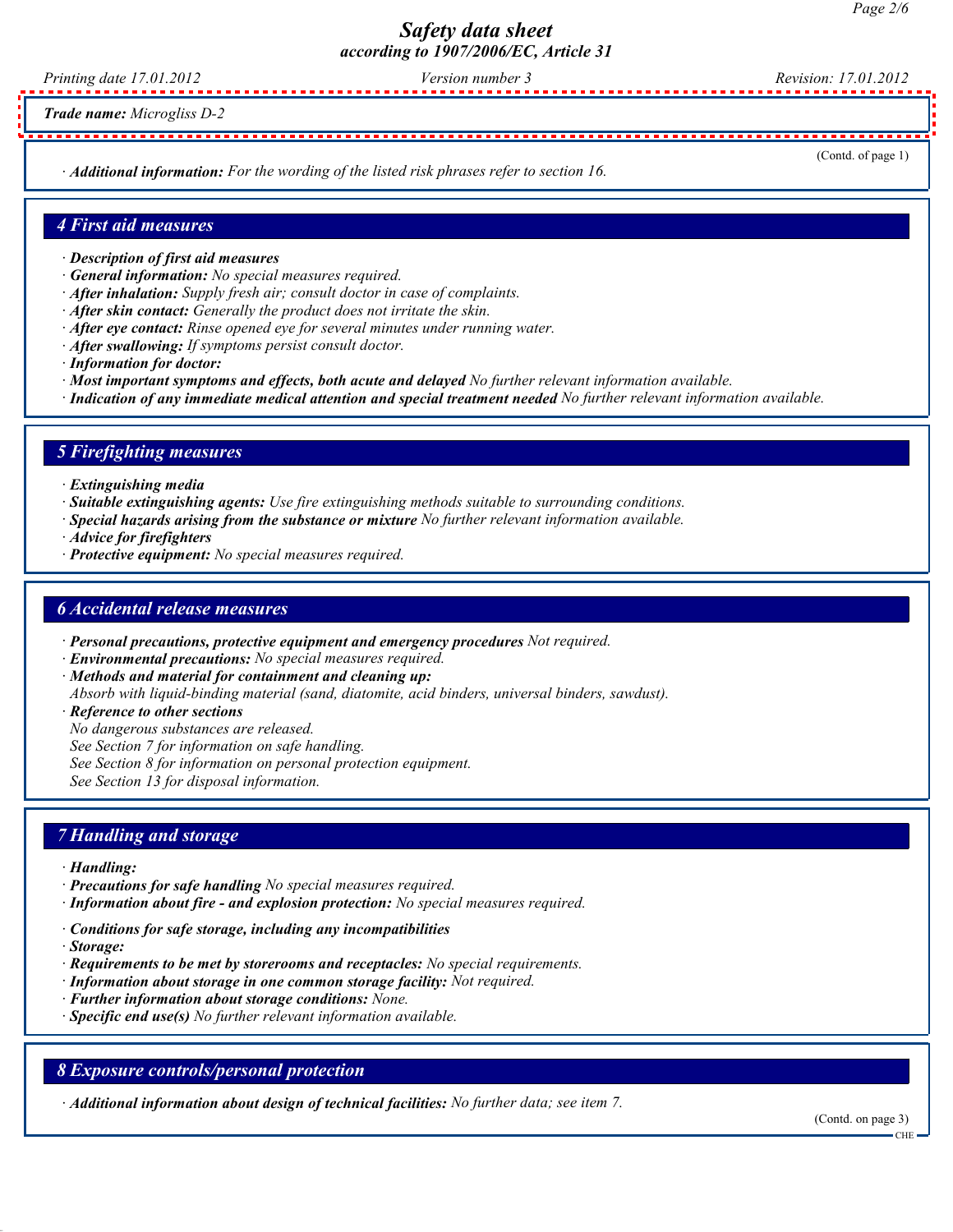Printing date 17.01.2012 Version number 3 Revision: 17.01.2012

Trade name: [Microgliss D-2](http://www.m-p.co.uk/muk/parts/chap10/moebius-oil-20ml-1079000315.htm)

· Additional information: For the wording of the listed risk phrases refer to section 16.

(Contd. of page 1)

#### 4 First aid measures

- · Description of first aid measures
- · General information: No special measures required.
- · After inhalation: Supply fresh air; consult doctor in case of complaints.
- · After skin contact: Generally the product does not irritate the skin.
- $\cdot$  After eve contact: Rinse opened eve for several minutes under running water.
- · After swallowing: If symptoms persist consult doctor.
- · Information for doctor:
- · Most important symptoms and effects, both acute and delayed No further relevant information available.
- · Indication of any immediate medical attention and special treatment needed No further relevant information available.

#### 5 Firefighting measures

- · Extinguishing media
- · Suitable extinguishing agents: Use fire extinguishing methods suitable to surrounding conditions.
- · Special hazards arising from the substance or mixture No further relevant information available.
- · Advice for firefighters
- · Protective equipment: No special measures required.

#### 6 Accidental release measures

- · Personal precautions, protective equipment and emergency procedures Not required.
- · Environmental precautions: No special measures required.
- · Methods and material for containment and cleaning up:
- Absorb with liquid-binding material (sand, diatomite, acid binders, universal binders, sawdust).
- · Reference to other sections
- No dangerous substances are released.
- See Section 7 for information on safe handling.
- See Section 8 for information on personal protection equipment.

See Section 13 for disposal information.

#### 7 Handling and storage

- · Handling:
- · Precautions for safe handling No special measures required.
- · Information about fire and explosion protection: No special measures required.
- · Conditions for safe storage, including any incompatibilities
- · Storage:
- $\cdot$  Requirements to be met by storerooms and receptacles: No special requirements.
- · Information about storage in one common storage facility: Not required.
- · Further information about storage conditions: None.
- $\cdot$  Specific end use(s) No further relevant information available.

#### 8 Exposure controls/personal protection

· Additional information about design of technical facilities: No further data; see item 7.

(Contd. on page 3)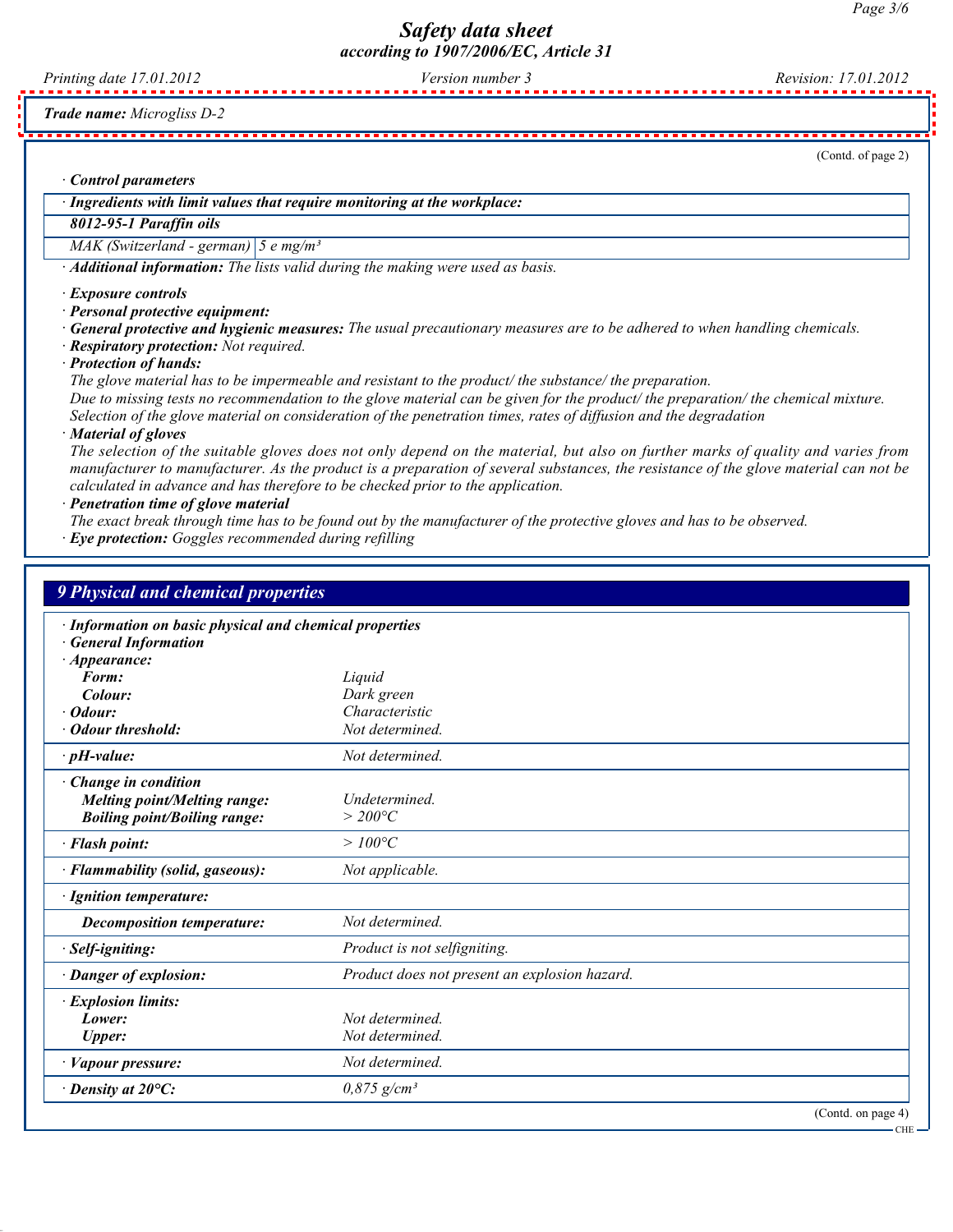Printing date 17.01.2012 Version number 3 Revision: 17.01.2012

Trade name: [Microgliss D-2](http://www.m-p.co.uk/muk/parts/chap10/moebius-oil-20ml-1079000315.htm)

(Contd. of page 2)

CHE

· Control parameters

· Ingredients with limit values that require monitoring at the workplace:

## 8012-95-1 Paraffin oils

MAK (Switzerland - german)  $\left|5 \text{ e mg/m}^3\right|$ 

· Additional information: The lists valid during the making were used as basis.

· Exposure controls

· Personal protective equipment:

· General protective and hygienic measures: The usual precautionary measures are to be adhered to when handling chemicals.

· Respiratory protection: Not required.

· Protection of hands:

The glove material has to be impermeable and resistant to the product/ the substance/ the preparation. Due to missing tests no recommendation to the glove material can be given for the product/ the preparation/ the chemical mixture. Selection of the glove material on consideration of the penetration times, rates of diffusion and the degradation

· Material of gloves

The selection of the suitable gloves does not only depend on the material, but also on further marks of quality and varies from manufacturer to manufacturer. As the product is a preparation of several substances, the resistance of the glove material can not be calculated in advance and has therefore to be checked prior to the application.

· Penetration time of glove material

The exact break through time has to be found out by the manufacturer of the protective gloves and has to be observed.

· Eye protection: Goggles recommended during refilling

| <b>9 Physical and chemical properties</b>                                                                    |                                               |
|--------------------------------------------------------------------------------------------------------------|-----------------------------------------------|
| · Information on basic physical and chemical properties<br><b>General Information</b><br>$\cdot$ Appearance: |                                               |
| Form:                                                                                                        | Liquid                                        |
| Colour:                                                                                                      | Dark green                                    |
| Odour:                                                                                                       | Characteristic                                |
| Odour threshold:                                                                                             | Not determined.                               |
| $\cdot$ pH-value:                                                                                            | Not determined.                               |
| Change in condition<br><b>Melting point/Melting range:</b><br><b>Boiling point/Boiling range:</b>            | Undetermined.<br>$>$ 200°C                    |
| · Flash point:                                                                                               | $>100^{\circ}C$                               |
| · Flammability (solid, gaseous):                                                                             | Not applicable.                               |
| · Ignition temperature:                                                                                      |                                               |
| <b>Decomposition temperature:</b>                                                                            | Not determined.                               |
| · Self-igniting:                                                                                             | Product is not selfigniting.                  |
| · Danger of explosion:                                                                                       | Product does not present an explosion hazard. |
| · Explosion limits:<br>Lower:<br><b>Upper:</b>                                                               | Not determined.<br>Not determined.            |
| · Vapour pressure:                                                                                           | Not determined.                               |
| $\cdot$ Density at 20 $\mathrm{^{\circ}C:}$                                                                  | $0.875$ g/cm <sup>3</sup>                     |
|                                                                                                              | (Contd. on page 4)                            |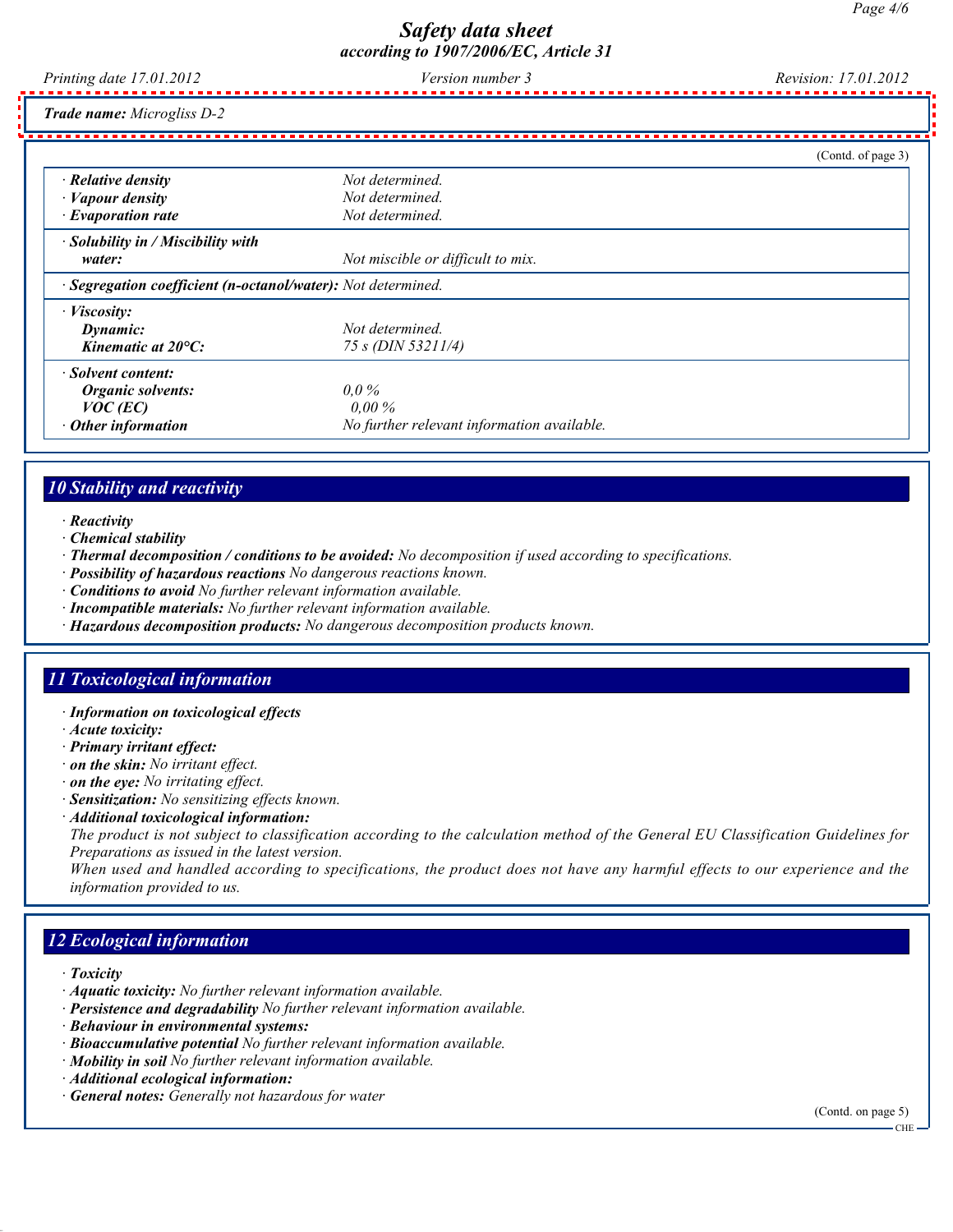Printing date 17.01.2012 Version number 3 Revision: 17.01.2012

Trade name: [Microgliss D-2](http://www.m-p.co.uk/muk/parts/chap10/moebius-oil-20ml-1079000315.htm)

|                                                              |                                            | (Contd. of page 3) |
|--------------------------------------------------------------|--------------------------------------------|--------------------|
| $\cdot$ Relative density                                     | Not determined.                            |                    |
| $\cdot$ <i>Vapour density</i>                                | Not determined.                            |                    |
| $\cdot$ Evaporation rate                                     | Not determined.                            |                    |
| $\cdot$ Solubility in / Miscibility with                     |                                            |                    |
| water:                                                       | Not miscible or difficult to mix.          |                    |
| · Segregation coefficient (n-octanol/water): Not determined. |                                            |                    |
| · <i>Viscositv</i> :                                         |                                            |                    |
| Dynamic:                                                     | Not determined.                            |                    |
| Kinematic at 20°C:                                           | 75 s (DIN 53211/4)                         |                    |
| · Solvent content:                                           |                                            |                    |
| Organic solvents:                                            | $0.0\%$                                    |                    |
| $VOC$ (EC)                                                   | $0.00\%$                                   |                    |
| Other information                                            | No further relevant information available. |                    |

## 10 Stability and reactivity

- · Reactivity
- · Chemical stability
- · Thermal decomposition / conditions to be avoided: No decomposition if used according to specifications.
- · Possibility of hazardous reactions No dangerous reactions known.
- · Conditions to avoid No further relevant information available.
- · Incompatible materials: No further relevant information available.
- · Hazardous decomposition products: No dangerous decomposition products known.

## 11 Toxicological information

- · Information on toxicological effects
- · Acute toxicity:
- · Primary irritant effect:
- · on the skin: No irritant effect.
- · on the eye: No irritating effect.
- · Sensitization: No sensitizing effects known.
- · Additional toxicological information:

The product is not subject to classification according to the calculation method of the General EU Classification Guidelines for Preparations as issued in the latest version.

When used and handled according to specifications, the product does not have any harmful effects to our experience and the information provided to us.

## 12 Ecological information

- · Toxicity
- · Aquatic toxicity: No further relevant information available.
- · Persistence and degradability No further relevant information available.
- · Behaviour in environmental systems:
- · Bioaccumulative potential No further relevant information available.
- · Mobility in soil No further relevant information available.
- · Additional ecological information:
- · General notes: Generally not hazardous for water

(Contd. on page 5)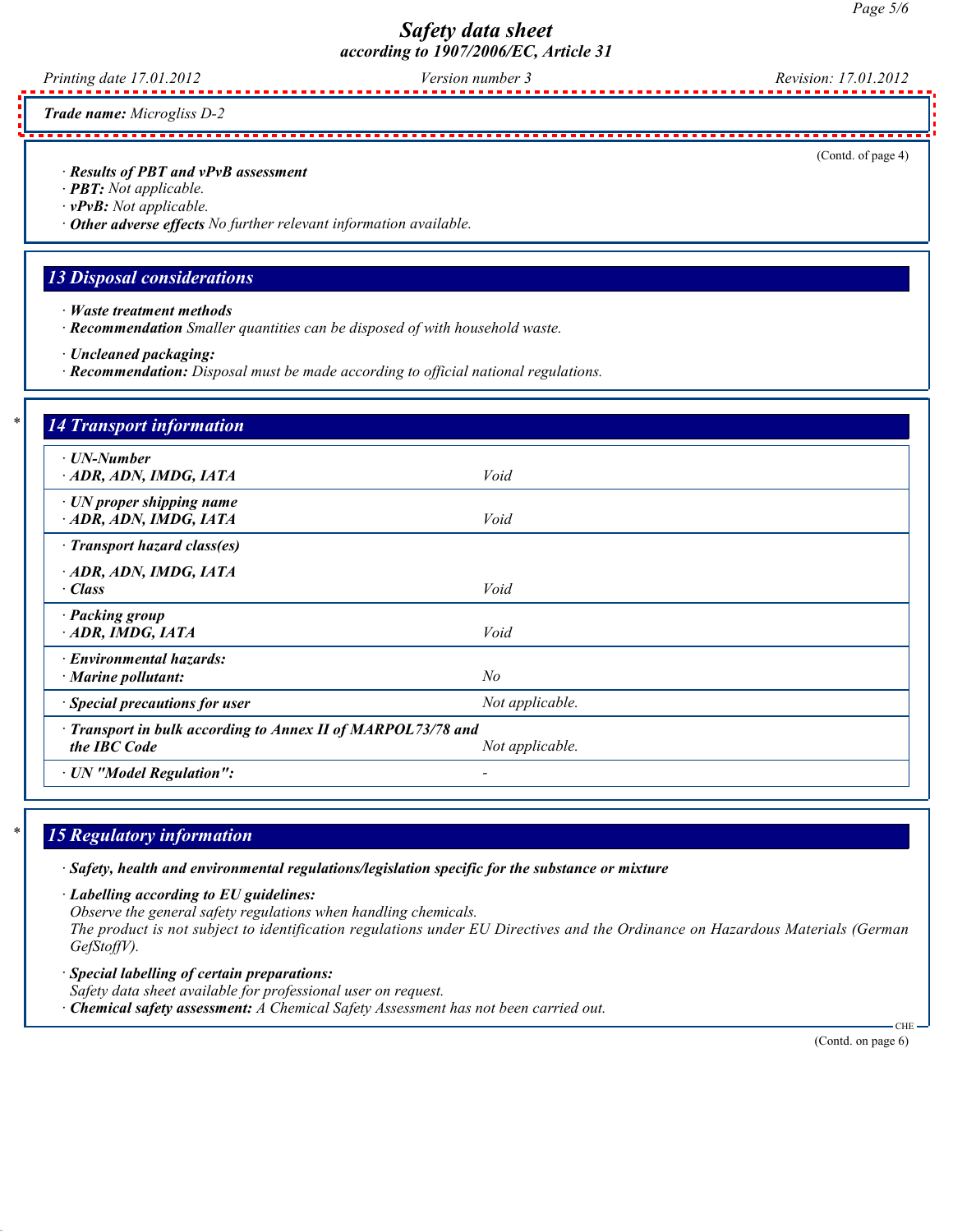Printing date 17.01.2012 Version number 3 Revision: 17.01.2012

Trade name: [Microgliss D-2](http://www.m-p.co.uk/muk/parts/chap10/moebius-oil-20ml-1079000315.htm)

· Results of PBT and vPvB assessment

- · PBT: Not applicable.
- · vPvB: Not applicable.
- · Other adverse effects No further relevant information available.

#### 13 Disposal considerations

- · Waste treatment methods
- · Recommendation Smaller quantities can be disposed of with household waste.
- · Uncleaned packaging:
- · Recommendation: Disposal must be made according to official national regulations.

| · UN-Number                                                                  |                 |  |
|------------------------------------------------------------------------------|-----------------|--|
| ADR, ADN, IMDG, IATA                                                         | Void            |  |
| $\cdot$ UN proper shipping name<br>ADR, ADN, IMDG, IATA                      | Void            |  |
| · Transport hazard class(es)                                                 |                 |  |
| ADR, ADN, IMDG, IATA                                                         |                 |  |
| · Class                                                                      | Void            |  |
| · Packing group                                                              |                 |  |
| ADR, IMDG, IATA                                                              | Void            |  |
| · Environmental hazards:                                                     |                 |  |
| $\cdot$ Marine pollutant:                                                    | $N_{O}$         |  |
| · Special precautions for user                                               | Not applicable. |  |
|                                                                              |                 |  |
| · Transport in bulk according to Annex II of MARPOL73/78 and<br>the IBC Code | Not applicable. |  |

# 15 Regulatory information

· Safety, health and environmental regulations/legislation specific for the substance or mixture

· Labelling according to EU guidelines:

Observe the general safety regulations when handling chemicals.

The product is not subject to identification regulations under EU Directives and the Ordinance on Hazardous Materials (German GefStoffV).

- · Special labelling of certain preparations: Safety data sheet available for professional user on request.
- $\cdot$  Chemical safety assessment: A Chemical Safety Assessment has not been carried out.

(Contd. on page 6)

 $CHI$ 

(Contd. of page 4)